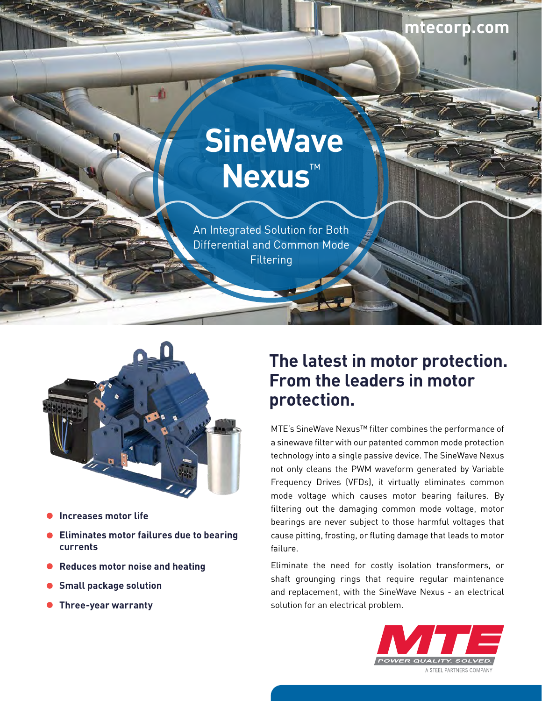# **SineWave Nexus**™

An Integrated Solution for Both Differential and Common Mode **Filtering** 



- **Increases motor life**
- **Eliminates motor failures due to bearing currents**
- **Reduces motor noise and heating**
- **Small package solution**
- **Three-year warranty**

## **The latest in motor protection. From the leaders in motor protection.**

**mtecorp.com**

MTE's SineWave Nexus™ filter combines the performance of a sinewave filter with our patented common mode protection technology into a single passive device. The SineWave Nexus not only cleans the PWM waveform generated by Variable Frequency Drives (VFDs), it virtually eliminates common mode voltage which causes motor bearing failures. By filtering out the damaging common mode voltage, motor bearings are never subject to those harmful voltages that cause pitting, frosting, or fluting damage that leads to motor failure.

Eliminate the need for costly isolation transformers, or shaft grounging rings that require regular maintenance and replacement, with the SineWave Nexus - an electrical solution for an electrical problem.